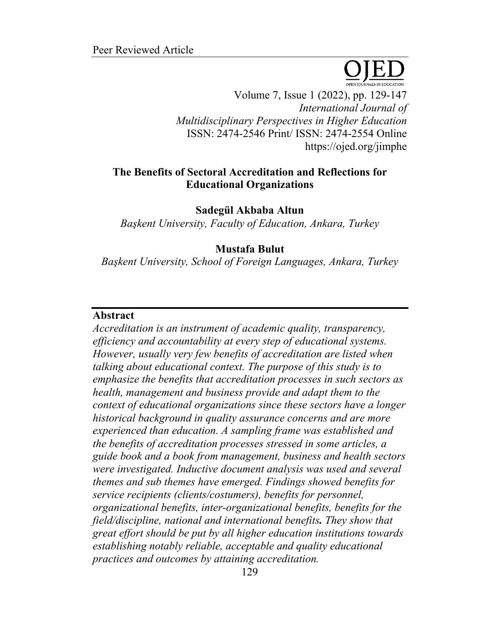Volume 7, Issue 1 (2022), pp. 129-147 *International Journal of Multidisciplinary Perspectives in Higher Education* ISSN: 2474-2546 Print/ ISSN: 2474-2554 Online https://ojed.org/jimphe

## **The Benefits of Sectoral Accreditation and Reflections for Educational Organizations**

**Sadegül Akbaba Altun**

*Başkent University, Faculty of Education, Ankara, Turkey*

#### **Mustafa Bulut**

*Başkent University, School of Foreign Languages, Ankara, Turkey*

#### **Abstract**

*Accreditation is an instrument of academic quality, transparency, efficiency and accountability at every step of educational systems. However, usually very few benefits of accreditation are listed when talking about educational context. The purpose of this study is to emphasize the benefits that accreditation processes in such sectors as health, management and business provide and adapt them to the context of educational organizations since these sectors have a longer historical background in quality assurance concerns and are more experienced than education. A sampling frame was established and the benefits of accreditation processes stressed in some articles, a guide book and a book from management, business and health sectors were investigated. Inductive document analysis was used and several themes and sub themes have emerged. Findings showed benefits for service recipients (clients/costumers), benefits for personnel, organizational benefits, inter-organizational benefits, benefits for the field/discipline, national and international benefits. They show that great effort should be put by all higher education institutions towards establishing notably reliable, acceptable and quality educational practices and outcomes by attaining accreditation.*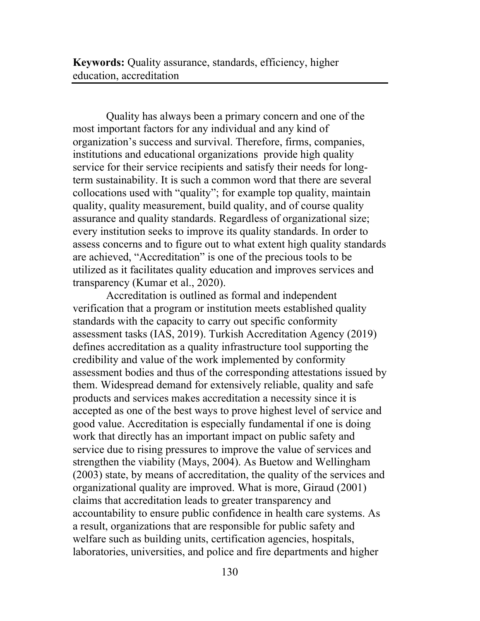**Keywords:** Quality assurance, standards, efficiency, higher education, accreditation

Quality has always been a primary concern and one of the most important factors for any individual and any kind of organization's success and survival. Therefore, firms, companies, institutions and educational organizations provide high quality service for their service recipients and satisfy their needs for longterm sustainability. It is such a common word that there are several collocations used with "quality"; for example top quality, maintain quality, quality measurement, build quality, and of course quality assurance and quality standards. Regardless of organizational size; every institution seeks to improve its quality standards. In order to assess concerns and to figure out to what extent high quality standards are achieved, "Accreditation" is one of the precious tools to be utilized as it facilitates quality education and improves services and transparency (Kumar et al., 2020).

Accreditation is outlined as formal and independent verification that a program or institution meets established quality standards with the capacity to carry out specific conformity assessment tasks (IAS, 2019). Turkish Accreditation Agency (2019) defines accreditation as a quality infrastructure tool supporting the credibility and value of the work implemented by conformity assessment bodies and thus of the corresponding attestations issued by them. Widespread demand for extensively reliable, quality and safe products and services makes accreditation a necessity since it is accepted as one of the best ways to prove highest level of service and good value. Accreditation is especially fundamental if one is doing work that directly has an important impact on public safety and service due to rising pressures to improve the value of services and strengthen the viability (Mays, 2004). As Buetow and Wellingham (2003) state, by means of accreditation, the quality of the services and organizational quality are improved. What is more, Giraud (2001) claims that accreditation leads to greater transparency and accountability to ensure public confidence in health care systems. As a result, organizations that are responsible for public safety and welfare such as building units, certification agencies, hospitals, laboratories, universities, and police and fire departments and higher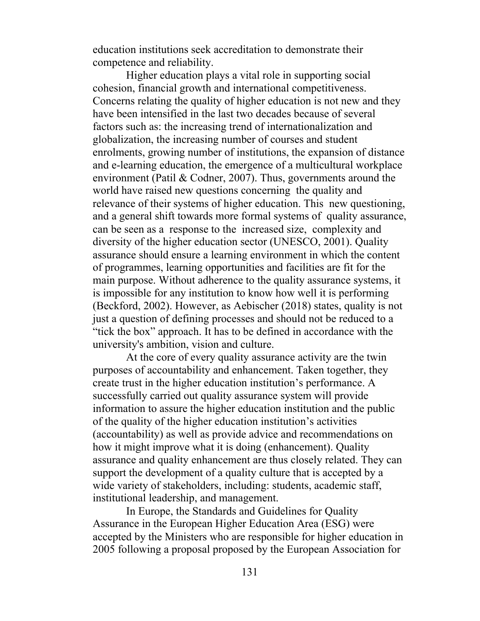education institutions seek accreditation to demonstrate their competence and reliability.

Higher education plays a vital role in supporting social cohesion, financial growth and international competitiveness. Concerns relating the quality of higher education is not new and they have been intensified in the last two decades because of several factors such as: the increasing trend of internationalization and globalization, the increasing number of courses and student enrolments, growing number of institutions, the expansion of distance and e-learning education, the emergence of a multicultural workplace environment (Patil & Codner, 2007). Thus, governments around the world have raised new questions concerning the quality and relevance of their systems of higher education. This new questioning, and a general shift towards more formal systems of quality assurance, can be seen as a response to the increased size, complexity and diversity of the higher education sector (UNESCO, 2001). Quality assurance should ensure a learning environment in which the content of programmes, learning opportunities and facilities are fit for the main purpose. Without adherence to the quality assurance systems, it is impossible for any institution to know how well it is performing (Beckford, 2002). However, as Aebischer (2018) states, quality is not just a question of defining processes and should not be reduced to a "tick the box" approach. It has to be defined in accordance with the university's ambition, vision and culture.

At the core of every quality assurance activity are the twin purposes of accountability and enhancement. Taken together, they create trust in the higher education institution's performance. A successfully carried out quality assurance system will provide information to assure the higher education institution and the public of the quality of the higher education institution's activities (accountability) as well as provide advice and recommendations on how it might improve what it is doing (enhancement). Quality assurance and quality enhancement are thus closely related. They can support the development of a quality culture that is accepted by a wide variety of stakeholders, including: students, academic staff, institutional leadership, and management.

In Europe, the Standards and Guidelines for Quality Assurance in the European Higher Education Area (ESG) were accepted by the Ministers who are responsible for higher education in 2005 following a proposal proposed by the European Association for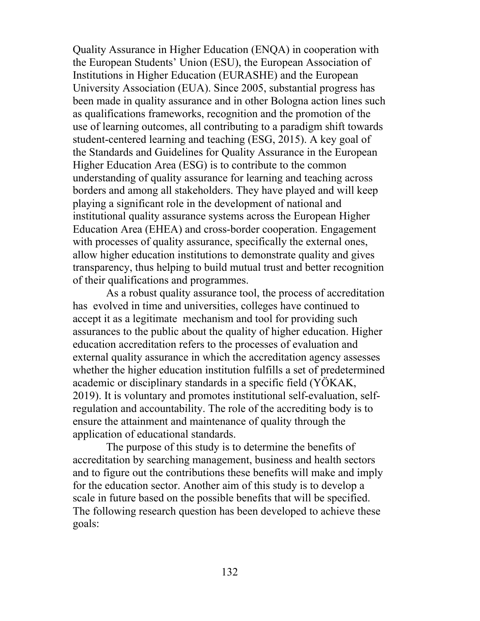Quality Assurance in Higher Education (ENQA) in cooperation with the European Students' Union (ESU), the European Association of Institutions in Higher Education (EURASHE) and the European University Association (EUA). Since 2005, substantial progress has been made in quality assurance and in other Bologna action lines such as qualifications frameworks, recognition and the promotion of the use of learning outcomes, all contributing to a paradigm shift towards student-centered learning and teaching (ESG, 2015). A key goal of the Standards and Guidelines for Quality Assurance in the European Higher Education Area (ESG) is to contribute to the common understanding of quality assurance for learning and teaching across borders and among all stakeholders. They have played and will keep playing a significant role in the development of national and institutional quality assurance systems across the European Higher Education Area (EHEA) and cross-border cooperation. Engagement with processes of quality assurance, specifically the external ones, allow higher education institutions to demonstrate quality and gives transparency, thus helping to build mutual trust and better recognition of their qualifications and programmes.

As a robust quality assurance tool, the process of accreditation has evolved in time and universities, colleges have continued to accept it as a legitimate mechanism and tool for providing such assurances to the public about the quality of higher education. Higher education accreditation refers to the processes of evaluation and external quality assurance in which the accreditation agency assesses whether the higher education institution fulfills a set of predetermined academic or disciplinary standards in a specific field (YÖKAK, 2019). It is voluntary and promotes institutional self-evaluation, selfregulation and accountability. The role of the accrediting body is to ensure the attainment and maintenance of quality through the application of educational standards.

The purpose of this study is to determine the benefits of accreditation by searching management, business and health sectors and to figure out the contributions these benefits will make and imply for the education sector. Another aim of this study is to develop a scale in future based on the possible benefits that will be specified. The following research question has been developed to achieve these goals: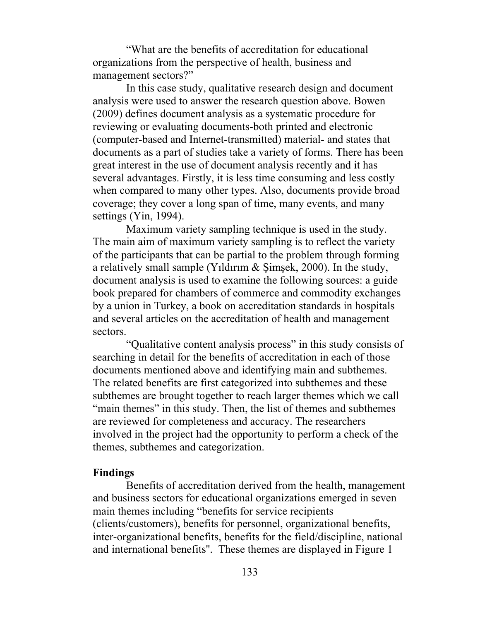"What are the benefits of accreditation for educational organizations from the perspective of health, business and management sectors?"

In this case study, qualitative research design and document analysis were used to answer the research question above. Bowen (2009) defines document analysis as a systematic procedure for reviewing or evaluating documents-both printed and electronic (computer-based and Internet-transmitted) material- and states that documents as a part of studies take a variety of forms. There has been great interest in the use of document analysis recently and it has several advantages. Firstly, it is less time consuming and less costly when compared to many other types. Also, documents provide broad coverage; they cover a long span of time, many events, and many settings (Yin, 1994).

Maximum variety sampling technique is used in the study. The main aim of maximum variety sampling is to reflect the variety of the participants that can be partial to the problem through forming a relatively small sample (Yıldırım & Şimşek, 2000). In the study, document analysis is used to examine the following sources: a guide book prepared for chambers of commerce and commodity exchanges by a union in Turkey, a book on accreditation standards in hospitals and several articles on the accreditation of health and management sectors.

"Qualitative content analysis process" in this study consists of searching in detail for the benefits of accreditation in each of those documents mentioned above and identifying main and subthemes. The related benefits are first categorized into subthemes and these subthemes are brought together to reach larger themes which we call "main themes" in this study. Then, the list of themes and subthemes are reviewed for completeness and accuracy. The researchers involved in the project had the opportunity to perform a check of the themes, subthemes and categorization.

#### **Findings**

Benefits of accreditation derived from the health, management and business sectors for educational organizations emerged in seven main themes including "benefits for service recipients (clients/customers), benefits for personnel, organizational benefits, inter-organizational benefits, benefits for the field/discipline, national and international benefits''. These themes are displayed in Figure 1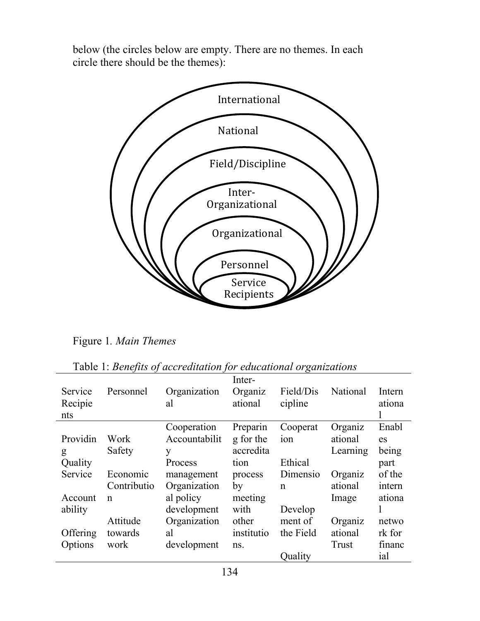below (the circles below are empty. There are no themes. In each circle there should be the themes):



Figure 1*. Main Themes*

| Service<br>Recipie<br>nts | Personnel   | Organization<br>al | Inter-<br>Organiz<br>ational | Field/Dis<br>cipline | National | Intern<br>ationa |
|---------------------------|-------------|--------------------|------------------------------|----------------------|----------|------------------|
|                           |             | Cooperation        | Preparin                     | Cooperat             | Organiz  | Enabl            |
| Providin                  | Work        | Accountabilit      | g for the                    | ion                  | ational  | es               |
| g                         | Safety      | y                  | accredita                    |                      | Learning | being            |
| Quality                   |             | Process            | tion                         | Ethical              |          | part             |
| Service                   | Economic    | management         | process                      | Dimensio             | Organiz  | of the           |
|                           | Contributio | Organization       | by                           | $\mathsf{n}$         | ational  | intern           |
| Account                   | n           | al policy          | meeting                      |                      | Image    | ationa           |
| ability                   |             | development        | with                         | Develop              |          |                  |
|                           | Attitude    | Organization       | other                        | ment of              | Organiz  | netwo            |
| Offering                  | towards     | al                 | institutio                   | the Field            | ational  | rk for           |
| Options                   | work        | development        | ns.                          |                      | Trust    | financ           |
|                           |             |                    |                              | Quality              |          | ial              |

Table 1: *Benefits of accreditation for educational organizations*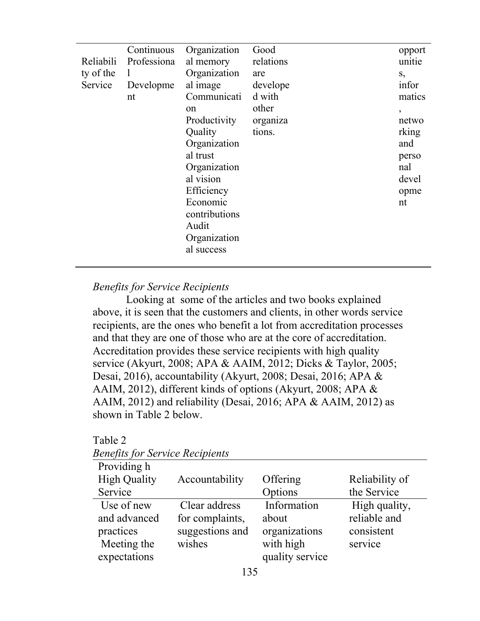| Reliabili<br>ty of the<br>Service | Continuous<br>Professiona<br>1<br>Developme<br>nt | Organization<br>al memory<br>Organization<br>al image<br>Communicati<br>on<br>Productivity<br>Quality<br>Organization<br>al trust<br>Organization<br>al vision<br>Efficiency<br>Economic<br>contributions<br>Audit<br>Organization | Good<br>relations<br>are<br>develope<br>d with<br>other<br>organiza<br>tions. | opport<br>unitie<br>S,<br>infor<br>matics<br>$\overline{ }$<br>netwo<br>rking<br>and<br>perso<br>nal<br>devel<br>opme<br>nt |
|-----------------------------------|---------------------------------------------------|------------------------------------------------------------------------------------------------------------------------------------------------------------------------------------------------------------------------------------|-------------------------------------------------------------------------------|-----------------------------------------------------------------------------------------------------------------------------|
|                                   |                                                   | al success                                                                                                                                                                                                                         |                                                                               |                                                                                                                             |

## *Benefits for Service Recipients*

Looking at some of the articles and two books explained above, it is seen that the customers and clients, in other words service recipients, are the ones who benefit a lot from accreditation processes and that they are one of those who are at the core of accreditation. Accreditation provides these service recipients with high quality service (Akyurt, 2008; APA & AAIM, 2012; Dicks & Taylor, 2005; Desai, 2016), accountability (Akyurt, 2008; Desai, 2016; APA & AAIM, 2012), different kinds of options (Akyurt, 2008; APA & AAIM, 2012) and reliability (Desai, 2016; APA & AAIM, 2012) as shown in Table 2 below.

| <i>Benefits for Service Recipients</i> |                 |                 |                |  |  |
|----------------------------------------|-----------------|-----------------|----------------|--|--|
| Providing h                            |                 |                 |                |  |  |
| <b>High Quality</b>                    | Accountability  | Offering        | Reliability of |  |  |
| Service                                |                 | Options         | the Service    |  |  |
| Use of new                             | Clear address   | Information     | High quality,  |  |  |
| and advanced                           | for complaints, | about           | reliable and   |  |  |
| practices                              | suggestions and | organizations   | consistent     |  |  |
| Meeting the                            | wishes          | with high       | service        |  |  |
| expectations                           |                 | quality service |                |  |  |
|                                        |                 |                 |                |  |  |

Table 2 *Benefits for Service Recipients*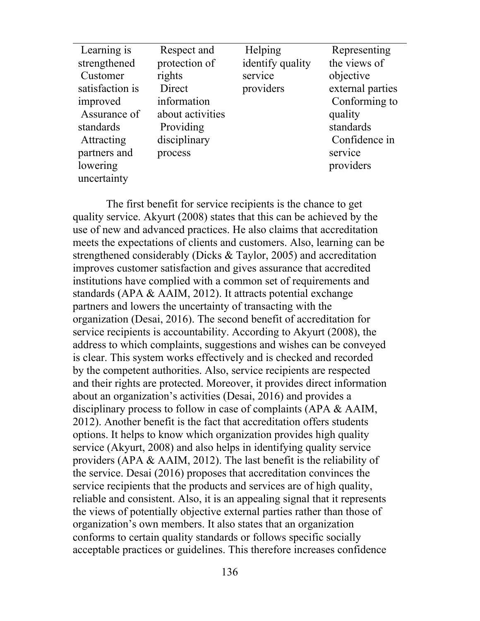| Learning is     | Respect and      | Helping          | Representing     |
|-----------------|------------------|------------------|------------------|
| strengthened    | protection of    | identify quality | the views of     |
| Customer        | rights           | service          | objective        |
| satisfaction is | Direct           | providers        | external parties |
| improved        | information      |                  | Conforming to    |
| Assurance of    | about activities |                  | quality          |
| standards       | Providing        |                  | standards        |
| Attracting      | disciplinary     |                  | Confidence in    |
| partners and    | process          |                  | service          |
| lowering        |                  |                  | providers        |
| uncertainty     |                  |                  |                  |

The first benefit for service recipients is the chance to get quality service. Akyurt (2008) states that this can be achieved by the use of new and advanced practices. He also claims that accreditation meets the expectations of clients and customers. Also, learning can be strengthened considerably (Dicks & Taylor, 2005) and accreditation improves customer satisfaction and gives assurance that accredited institutions have complied with a common set of requirements and standards (APA & AAIM, 2012). It attracts potential exchange partners and lowers the uncertainty of transacting with the organization (Desai, 2016). The second benefit of accreditation for service recipients is accountability. According to Akyurt (2008), the address to which complaints, suggestions and wishes can be conveyed is clear. This system works effectively and is checked and recorded by the competent authorities. Also, service recipients are respected and their rights are protected. Moreover, it provides direct information about an organization's activities (Desai, 2016) and provides a disciplinary process to follow in case of complaints (APA & AAIM, 2012). Another benefit is the fact that accreditation offers students options. It helps to know which organization provides high quality service (Akyurt, 2008) and also helps in identifying quality service providers (APA & AAIM, 2012). The last benefit is the reliability of the service. Desai (2016) proposes that accreditation convinces the service recipients that the products and services are of high quality, reliable and consistent. Also, it is an appealing signal that it represents the views of potentially objective external parties rather than those of organization's own members. It also states that an organization conforms to certain quality standards or follows specific socially acceptable practices or guidelines. This therefore increases confidence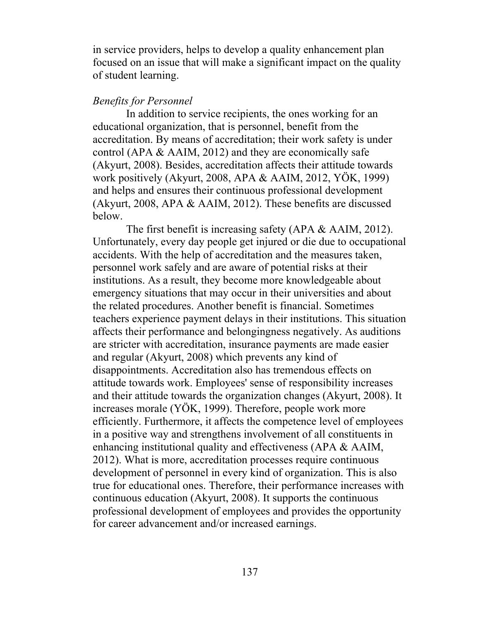in service providers, helps to develop a quality enhancement plan focused on an issue that will make a significant impact on the quality of student learning.

## *Benefits for Personnel*

In addition to service recipients, the ones working for an educational organization, that is personnel, benefit from the accreditation. By means of accreditation; their work safety is under control (APA & AAIM, 2012) and they are economically safe (Akyurt, 2008). Besides, accreditation affects their attitude towards work positively (Akyurt, 2008, APA & AAIM, 2012, YÖK, 1999) and helps and ensures their continuous professional development (Akyurt, 2008, APA & AAIM, 2012). These benefits are discussed below.

The first benefit is increasing safety (APA & AAIM, 2012). Unfortunately, every day people get injured or die due to occupational accidents. With the help of accreditation and the measures taken, personnel work safely and are aware of potential risks at their institutions. As a result, they become more knowledgeable about emergency situations that may occur in their universities and about the related procedures. Another benefit is financial. Sometimes teachers experience payment delays in their institutions. This situation affects their performance and belongingness negatively. As auditions are stricter with accreditation, insurance payments are made easier and regular (Akyurt, 2008) which prevents any kind of disappointments. Accreditation also has tremendous effects on attitude towards work. Employees' sense of responsibility increases and their attitude towards the organization changes (Akyurt, 2008). It increases morale (YÖK, 1999). Therefore, people work more efficiently. Furthermore, it affects the competence level of employees in a positive way and strengthens involvement of all constituents in enhancing institutional quality and effectiveness (APA & AAIM, 2012). What is more, accreditation processes require continuous development of personnel in every kind of organization. This is also true for educational ones. Therefore, their performance increases with continuous education (Akyurt, 2008). It supports the continuous professional development of employees and provides the opportunity for career advancement and/or increased earnings.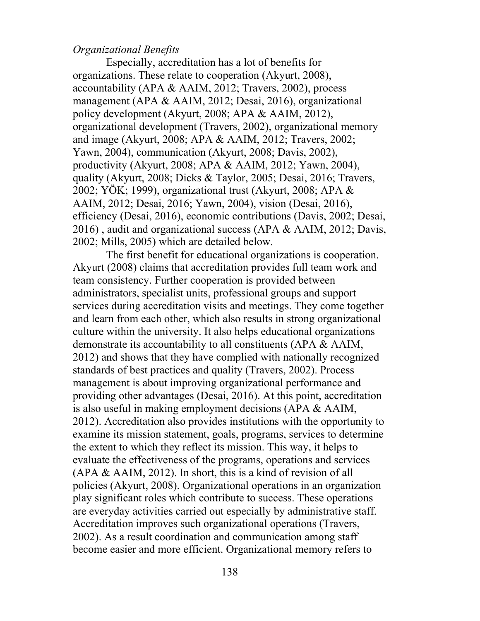#### *Organizational Benefits*

Especially, accreditation has a lot of benefits for organizations. These relate to cooperation (Akyurt, 2008), accountability (APA & AAIM, 2012; Travers, 2002), process management (APA & AAIM, 2012; Desai, 2016), organizational policy development (Akyurt, 2008; APA & AAIM, 2012), organizational development (Travers, 2002), organizational memory and image (Akyurt, 2008; APA & AAIM, 2012; Travers, 2002; Yawn, 2004), communication (Akyurt, 2008; Davis, 2002), productivity (Akyurt, 2008; APA & AAIM, 2012; Yawn, 2004), quality (Akyurt, 2008; Dicks & Taylor, 2005; Desai, 2016; Travers, 2002; YÖK; 1999), organizational trust (Akyurt, 2008; APA & AAIM, 2012; Desai, 2016; Yawn, 2004), vision (Desai, 2016), efficiency (Desai, 2016), economic contributions (Davis, 2002; Desai, 2016) , audit and organizational success (APA & AAIM, 2012; Davis, 2002; Mills, 2005) which are detailed below.

The first benefit for educational organizations is cooperation. Akyurt (2008) claims that accreditation provides full team work and team consistency. Further cooperation is provided between administrators, specialist units, professional groups and support services during accreditation visits and meetings. They come together and learn from each other, which also results in strong organizational culture within the university. It also helps educational organizations demonstrate its accountability to all constituents (APA & AAIM, 2012) and shows that they have complied with nationally recognized standards of best practices and quality (Travers, 2002). Process management is about improving organizational performance and providing other advantages (Desai, 2016). At this point, accreditation is also useful in making employment decisions (APA & AAIM, 2012). Accreditation also provides institutions with the opportunity to examine its mission statement, goals, programs, services to determine the extent to which they reflect its mission. This way, it helps to evaluate the effectiveness of the programs, operations and services (APA & AAIM, 2012). In short, this is a kind of revision of all policies (Akyurt, 2008). Organizational operations in an organization play significant roles which contribute to success. These operations are everyday activities carried out especially by administrative staff. Accreditation improves such organizational operations (Travers, 2002). As a result coordination and communication among staff become easier and more efficient. Organizational memory refers to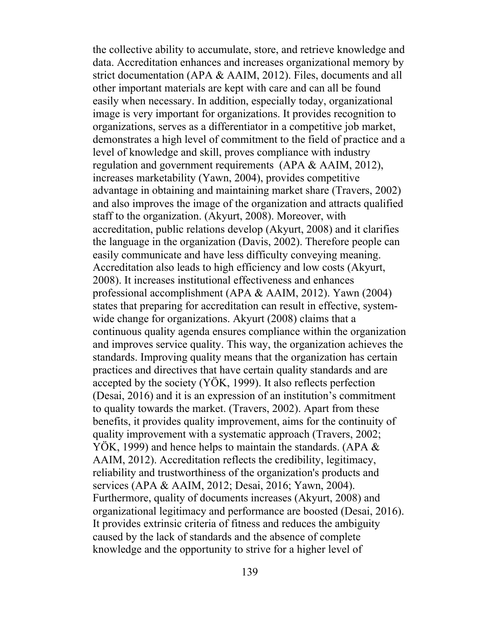the collective ability to accumulate, store, and retrieve knowledge and data. Accreditation enhances and increases organizational memory by strict documentation (APA & AAIM, 2012). Files, documents and all other important materials are kept with care and can all be found easily when necessary. In addition, especially today, organizational image is very important for organizations. It provides recognition to organizations, serves as a differentiator in a competitive job market, demonstrates a high level of commitment to the field of practice and a level of knowledge and skill, proves compliance with industry regulation and government requirements (APA & AAIM, 2012), increases marketability (Yawn, 2004), provides competitive advantage in obtaining and maintaining market share (Travers, 2002) and also improves the image of the organization and attracts qualified staff to the organization. (Akyurt, 2008). Moreover, with accreditation, public relations develop (Akyurt, 2008) and it clarifies the language in the organization (Davis, 2002). Therefore people can easily communicate and have less difficulty conveying meaning. Accreditation also leads to high efficiency and low costs (Akyurt, 2008). It increases institutional effectiveness and enhances professional accomplishment (APA & AAIM, 2012). Yawn (2004) states that preparing for accreditation can result in effective, systemwide change for organizations. Akyurt (2008) claims that a continuous quality agenda ensures compliance within the organization and improves service quality. This way, the organization achieves the standards. Improving quality means that the organization has certain practices and directives that have certain quality standards and are accepted by the society (YÖK, 1999). It also reflects perfection (Desai, 2016) and it is an expression of an institution's commitment to quality towards the market. (Travers, 2002). Apart from these benefits, it provides quality improvement, aims for the continuity of quality improvement with a systematic approach (Travers, 2002; YOK, 1999) and hence helps to maintain the standards. (APA  $\&$ AAIM, 2012). Accreditation reflects the credibility, legitimacy, reliability and trustworthiness of the organization's products and services (APA & AAIM, 2012; Desai, 2016; Yawn, 2004). Furthermore, quality of documents increases (Akyurt, 2008) and organizational legitimacy and performance are boosted (Desai, 2016). It provides extrinsic criteria of fitness and reduces the ambiguity caused by the lack of standards and the absence of complete knowledge and the opportunity to strive for a higher level of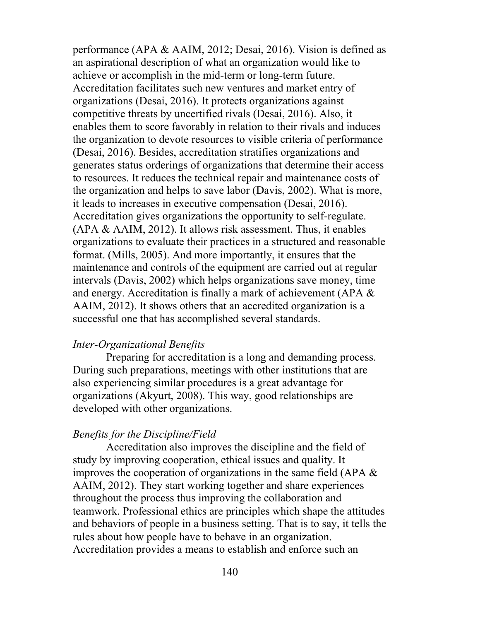performance (APA & AAIM, 2012; Desai, 2016). Vision is defined as an aspirational description of what an organization would like to achieve or accomplish in the mid-term or long-term future. Accreditation facilitates such new ventures and market entry of organizations (Desai, 2016). It protects organizations against competitive threats by uncertified rivals (Desai, 2016). Also, it enables them to score favorably in relation to their rivals and induces the organization to devote resources to visible criteria of performance (Desai, 2016). Besides, accreditation stratifies organizations and generates status orderings of organizations that determine their access to resources. It reduces the technical repair and maintenance costs of the organization and helps to save labor (Davis, 2002). What is more, it leads to increases in executive compensation (Desai, 2016). Accreditation gives organizations the opportunity to self-regulate. (APA & AAIM, 2012). It allows risk assessment. Thus, it enables organizations to evaluate their practices in a structured and reasonable format. (Mills, 2005). And more importantly, it ensures that the maintenance and controls of the equipment are carried out at regular intervals (Davis, 2002) which helps organizations save money, time and energy. Accreditation is finally a mark of achievement (APA & AAIM, 2012). It shows others that an accredited organization is a successful one that has accomplished several standards.

#### *Inter-Organizational Benefits*

Preparing for accreditation is a long and demanding process. During such preparations, meetings with other institutions that are also experiencing similar procedures is a great advantage for organizations (Akyurt, 2008). This way, good relationships are developed with other organizations.

#### *Benefits for the Discipline/Field*

Accreditation also improves the discipline and the field of study by improving cooperation, ethical issues and quality. It improves the cooperation of organizations in the same field (APA & AAIM, 2012). They start working together and share experiences throughout the process thus improving the collaboration and teamwork. Professional ethics are principles which shape the attitudes and behaviors of people in a business setting. That is to say, it tells the rules about how people have to behave in an organization. Accreditation provides a means to establish and enforce such an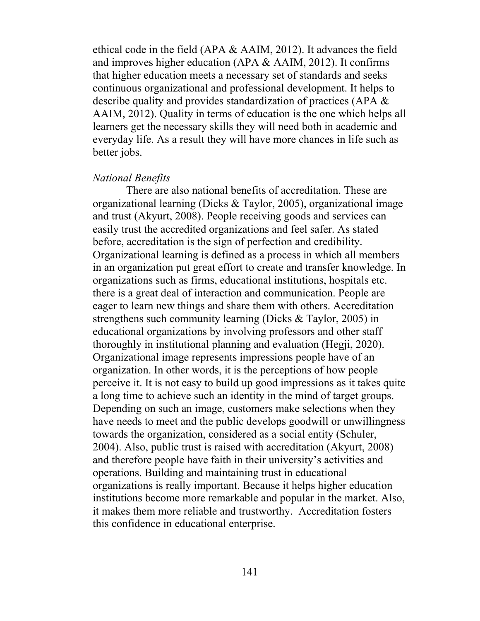ethical code in the field (APA & AAIM, 2012). It advances the field and improves higher education (APA & AAIM, 2012). It confirms that higher education meets a necessary set of standards and seeks continuous organizational and professional development. It helps to describe quality and provides standardization of practices (APA & AAIM, 2012). Quality in terms of education is the one which helps all learners get the necessary skills they will need both in academic and everyday life. As a result they will have more chances in life such as better jobs.

#### *National Benefits*

There are also national benefits of accreditation. These are organizational learning (Dicks & Taylor, 2005), organizational image and trust (Akyurt, 2008). People receiving goods and services can easily trust the accredited organizations and feel safer. As stated before, accreditation is the sign of perfection and credibility. Organizational learning is defined as a process in which all members in an organization put great effort to create and transfer knowledge. In organizations such as firms, educational institutions, hospitals etc. there is a great deal of interaction and communication. People are eager to learn new things and share them with others. Accreditation strengthens such community learning (Dicks & Taylor, 2005) in educational organizations by involving professors and other staff thoroughly in institutional planning and evaluation (Hegji, 2020). Organizational image represents impressions people have of an organization. In other words, it is the perceptions of how people perceive it. It is not easy to build up good impressions as it takes quite a long time to achieve such an identity in the mind of target groups. Depending on such an image, customers make selections when they have needs to meet and the public develops goodwill or unwillingness towards the organization, considered as a social entity (Schuler, 2004). Also, public trust is raised with accreditation (Akyurt, 2008) and therefore people have faith in their university's activities and operations. Building and maintaining trust in educational organizations is really important. Because it helps higher education institutions become more remarkable and popular in the market. Also, it makes them more reliable and trustworthy. Accreditation fosters this confidence in educational enterprise.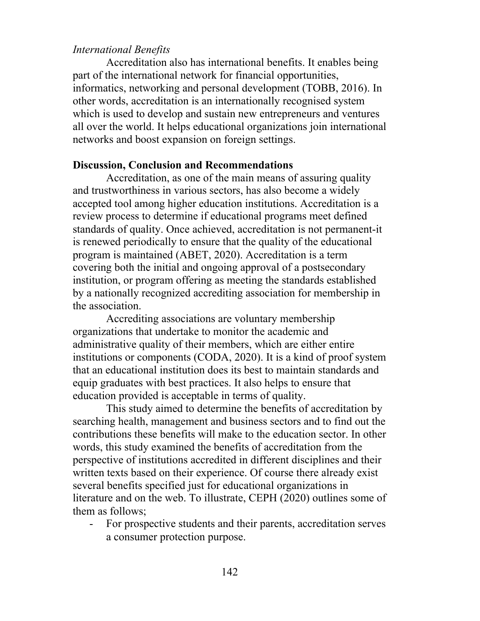### *International Benefits*

Accreditation also has international benefits. It enables being part of the international network for financial opportunities, informatics, networking and personal development (TOBB, 2016). In other words, accreditation is an internationally recognised system which is used to develop and sustain new entrepreneurs and ventures all over the world. It helps educational organizations join international networks and boost expansion on foreign settings.

## **Discussion, Conclusion and Recommendations**

Accreditation, as one of the main means of assuring quality and trustworthiness in various sectors, has also become a widely accepted tool among higher education institutions. Accreditation is a review process to determine if educational programs meet defined standards of quality. Once achieved, accreditation is not permanent-it is renewed periodically to ensure that the quality of the educational program is maintained (ABET, 2020). Accreditation is a term covering both the initial and ongoing approval of a postsecondary institution, or program offering as meeting the standards established by a nationally recognized accrediting association for membership in the association.

Accrediting associations are voluntary membership organizations that undertake to monitor the academic and administrative quality of their members, which are either entire institutions or components (CODA, 2020). It is a kind of proof system that an educational institution does its best to maintain standards and equip graduates with best practices. It also helps to ensure that education provided is acceptable in terms of quality.

This study aimed to determine the benefits of accreditation by searching health, management and business sectors and to find out the contributions these benefits will make to the education sector. In other words, this study examined the benefits of accreditation from the perspective of institutions accredited in different disciplines and their written texts based on their experience. Of course there already exist several benefits specified just for educational organizations in literature and on the web. To illustrate, CEPH (2020) outlines some of them as follows;

- For prospective students and their parents, accreditation serves a consumer protection purpose.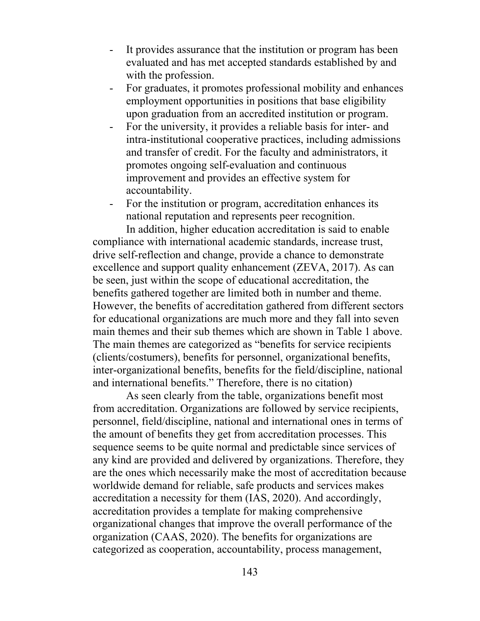- It provides assurance that the institution or program has been evaluated and has met accepted standards established by and with the profession.
- For graduates, it promotes professional mobility and enhances employment opportunities in positions that base eligibility upon graduation from an accredited institution or program.
- For the university, it provides a reliable basis for inter- and intra-institutional cooperative practices, including admissions and transfer of credit. For the faculty and administrators, it promotes ongoing self-evaluation and continuous improvement and provides an effective system for accountability.
- For the institution or program, accreditation enhances its national reputation and represents peer recognition.

In addition, higher education accreditation is said to enable compliance with international academic standards, increase trust, drive self-reflection and change, provide a chance to demonstrate excellence and support quality enhancement (ZEVA, 2017). As can be seen, just within the scope of educational accreditation, the benefits gathered together are limited both in number and theme. However, the benefits of accreditation gathered from different sectors for educational organizations are much more and they fall into seven main themes and their sub themes which are shown in Table 1 above. The main themes are categorized as "benefits for service recipients (clients/costumers), benefits for personnel, organizational benefits, inter-organizational benefits, benefits for the field/discipline, national and international benefits." Therefore, there is no citation)

As seen clearly from the table, organizations benefit most from accreditation. Organizations are followed by service recipients, personnel, field/discipline, national and international ones in terms of the amount of benefits they get from accreditation processes. This sequence seems to be quite normal and predictable since services of any kind are provided and delivered by organizations. Therefore, they are the ones which necessarily make the most of accreditation because worldwide demand for reliable, safe products and services makes accreditation a necessity for them (IAS, 2020). And accordingly, accreditation provides a template for making comprehensive organizational changes that improve the overall performance of the organization (CAAS, 2020). The benefits for organizations are categorized as cooperation, accountability, process management,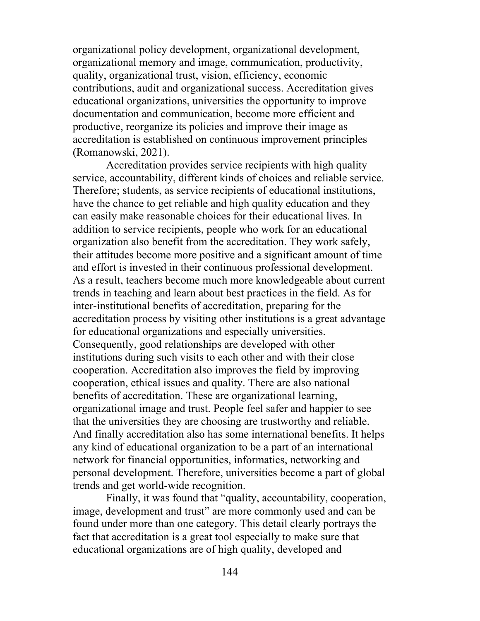organizational policy development, organizational development, organizational memory and image, communication, productivity, quality, organizational trust, vision, efficiency, economic contributions, audit and organizational success. Accreditation gives educational organizations, universities the opportunity to improve documentation and communication, become more efficient and productive, reorganize its policies and improve their image as accreditation is established on continuous improvement principles (Romanowski, 2021).

Accreditation provides service recipients with high quality service, accountability, different kinds of choices and reliable service. Therefore; students, as service recipients of educational institutions, have the chance to get reliable and high quality education and they can easily make reasonable choices for their educational lives. In addition to service recipients, people who work for an educational organization also benefit from the accreditation. They work safely, their attitudes become more positive and a significant amount of time and effort is invested in their continuous professional development. As a result, teachers become much more knowledgeable about current trends in teaching and learn about best practices in the field. As for inter-institutional benefits of accreditation, preparing for the accreditation process by visiting other institutions is a great advantage for educational organizations and especially universities. Consequently, good relationships are developed with other institutions during such visits to each other and with their close cooperation. Accreditation also improves the field by improving cooperation, ethical issues and quality. There are also national benefits of accreditation. These are organizational learning, organizational image and trust. People feel safer and happier to see that the universities they are choosing are trustworthy and reliable. And finally accreditation also has some international benefits. It helps any kind of educational organization to be a part of an international network for financial opportunities, informatics, networking and personal development. Therefore, universities become a part of global trends and get world-wide recognition.

Finally, it was found that "quality, accountability, cooperation, image, development and trust" are more commonly used and can be found under more than one category. This detail clearly portrays the fact that accreditation is a great tool especially to make sure that educational organizations are of high quality, developed and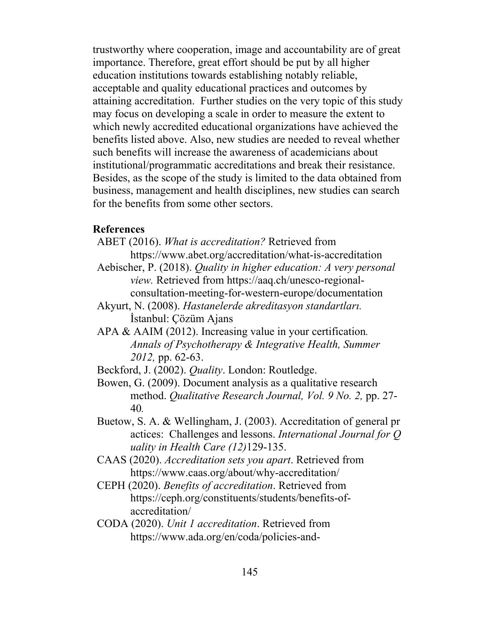trustworthy where cooperation, image and accountability are of great importance. Therefore, great effort should be put by all higher education institutions towards establishing notably reliable, acceptable and quality educational practices and outcomes by attaining accreditation. Further studies on the very topic of this study may focus on developing a scale in order to measure the extent to which newly accredited educational organizations have achieved the benefits listed above. Also, new studies are needed to reveal whether such benefits will increase the awareness of academicians about institutional/programmatic accreditations and break their resistance. Besides, as the scope of the study is limited to the data obtained from business, management and health disciplines, new studies can search for the benefits from some other sectors.

## **References**

- ABET (2016). *What is accreditation?* Retrieved from https://www.abet.org/accreditation/what-is-accreditation
- Aebischer, P. (2018). *Quality in higher education: A very personal view.* Retrieved from https://aaq.ch/unesco-regionalconsultation-meeting-for-western-europe/documentation
- Akyurt, N. (2008). *Hastanelerde akreditasyon standartları.*  İstanbul: Çözüm Ajans
- APA & AAIM (2012). Increasing value in your certification*. Annals of Psychotherapy & Integrative Health, Summer 2012,* pp. 62-63.
- Beckford, J. (2002). *Quality*. London: Routledge.
- Bowen, G. (2009). Document analysis as a qualitative research method. *Qualitative Research Journal, Vol. 9 No. 2,* pp. 27- 40*.*
- Buetow, S. A. & Wellingham, J. (2003). Accreditation of general pr actices: Challenges and lessons. *International Journal for Q uality in Health Care (12)*129-135.
- CAAS (2020). *Accreditation sets you apart*. Retrieved from https://www.caas.org/about/why-accreditation/
- CEPH (2020). *Benefits of accreditation*. Retrieved from https://ceph.org/constituents/students/benefits-ofaccreditation/
- CODA (2020). *Unit 1 accreditation*. Retrieved from https://www.ada.org/en/coda/policies-and-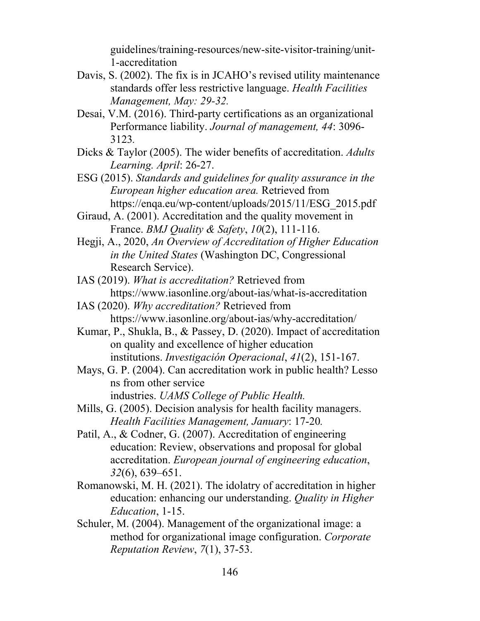guidelines/training-resources/new-site-visitor-training/unit-1-accreditation

- Davis, S. (2002). The fix is in JCAHO's revised utility maintenance standards offer less restrictive language. *Health Facilities Management, May: 29-32.*
- Desai, V.M. (2016). Third-party certifications as an organizational Performance liability. *Journal of management, 44*: 3096- 3123*.*
- Dicks & Taylor (2005). The wider benefits of accreditation. *Adults Learning. April*: 26-27.
- ESG (2015). *Standards and guidelines for quality assurance in the European higher education area.* Retrieved from https://enqa.eu/wp-content/uploads/2015/11/ESG\_2015.pdf
- Giraud, A. (2001). Accreditation and the quality movement in France. *BMJ Quality & Safety*, *10*(2), 111-116.
- Hegji, A., 2020, *An Overview of Accreditation of Higher Education in the United States* (Washington DC, Congressional Research Service).
- IAS (2019). *What is accreditation?* Retrieved from https://www.iasonline.org/about-ias/what-is-accreditation
- IAS (2020). *Why accreditation?* Retrieved from https://www.iasonline.org/about-ias/why-accreditation/
- Kumar, P., Shukla, B., & Passey, D. (2020). Impact of accreditation on quality and excellence of higher education institutions. *Investigación Operacional*, *41*(2), 151-167.
- Mays, G. P. (2004). Can accreditation work in public health? Lesso ns from other service industries. *UAMS College of Public Health.*
- Mills, G. (2005). Decision analysis for health facility managers. *Health Facilities Management, January*: 17-20*.*
- Patil, A., & Codner, G. (2007). Accreditation of engineering education: Review, observations and proposal for global accreditation. *European journal of engineering education*, *32*(6), 639–651.
- Romanowski, M. H. (2021). The idolatry of accreditation in higher education: enhancing our understanding. *Quality in Higher Education*, 1-15.
- Schuler, M. (2004). Management of the organizational image: a method for organizational image configuration. *Corporate Reputation Review*, *7*(1), 37-53.